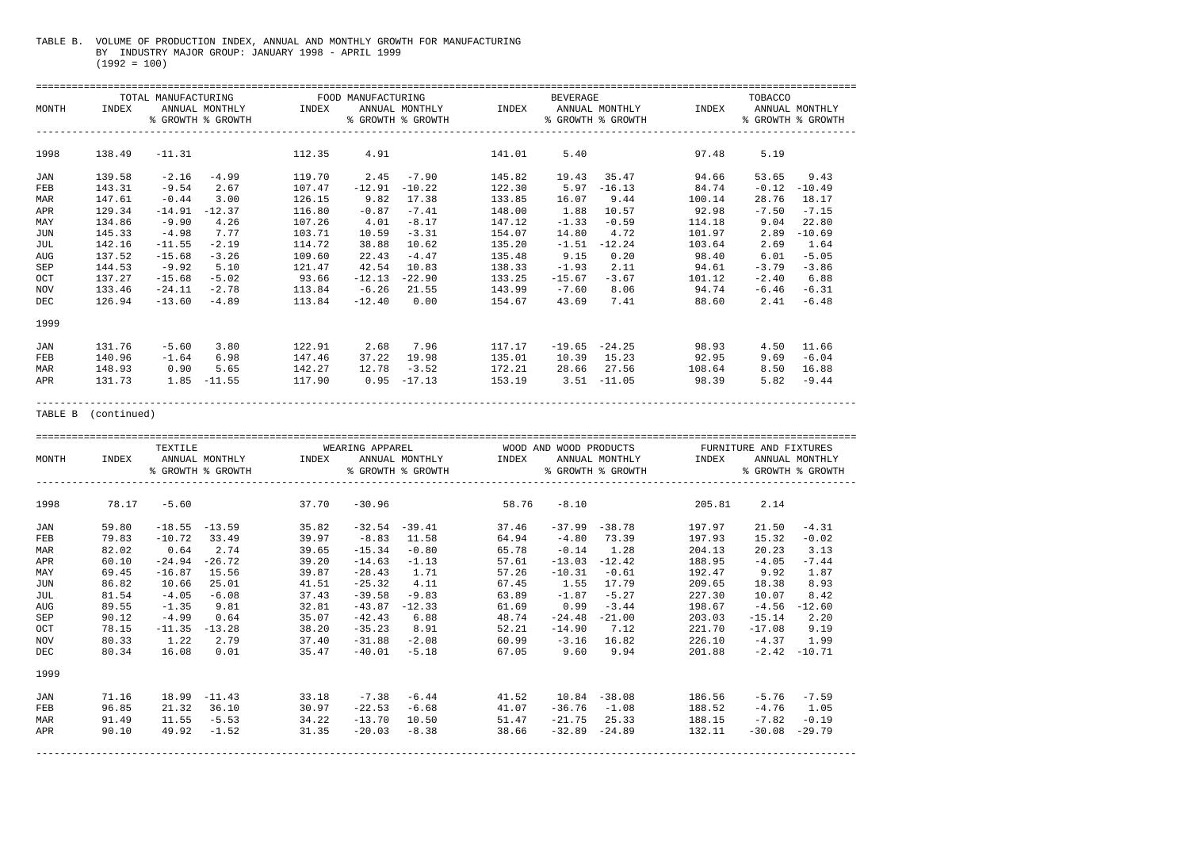## TABLE B. VOLUME OF PRODUCTION INDEX, ANNUAL AND MONTHLY GROWTH FOR MANUFACTURING BY INDUSTRY MAJOR GROUP: JANUARY 1998 - APRIL 1999 (1992 = 100)

|            |        |          |                   | TOTAL MANUFACTURING TOOD MANUFACTURING |          |                   |        | BEVERAGE       |                   |        | TOBACCO |                   |
|------------|--------|----------|-------------------|----------------------------------------|----------|-------------------|--------|----------------|-------------------|--------|---------|-------------------|
| MONTH      | INDEX  |          | ANNUAL MONTHLY    | INDEX                                  |          | ANNUAL MONTHLY    | INDEX  |                | ANNUAL MONTHLY    | INDEX  |         | ANNUAL MONTHLY    |
|            |        |          | % GROWTH % GROWTH |                                        |          | % GROWTH % GROWTH |        |                | % GROWTH % GROWTH |        |         | % GROWTH % GROWTH |
| 1998       | 138.49 | $-11.31$ |                   | 112.35                                 | 4.91     |                   | 141.01 | 5.40           |                   | 97.48  | 5.19    |                   |
| JAN        | 139.58 | $-2.16$  | $-4.99$           | 119.70                                 | 2.45     | $-7.90$           | 145.82 | 19.43          | 35.47             | 94.66  | 53.65   | 9.43              |
| <b>FEB</b> | 143.31 | $-9.54$  | 2.67              | 107.47                                 | $-12.91$ | $-10.22$          | 122.30 | 5.97           | $-16.13$          | 84.74  | $-0.12$ | $-10.49$          |
| MAR        | 147.61 | $-0.44$  | 3.00              | 126.15                                 | 9.82     | 17.38             | 133.85 | 16.07          | 9.44              | 100.14 | 28.76   | 18.17             |
| APR        | 129.34 | $-14.91$ | $-12.37$          | 116.80                                 | $-0.87$  | $-7.41$           | 148.00 | 1.88           | 10.57             | 92.98  | $-7.50$ | $-7.15$           |
| MAY        | 134.86 | $-9.90$  | 4.26              | 107.26                                 | 4.01     | $-8.17$           | 147.12 | $-1.33$        | $-0.59$           | 114.18 | 9.04    | 22.80             |
| JUN        | 145.33 | $-4.98$  | 7.77              | 103.71                                 | 10.59    | $-3.31$           | 154.07 | 14.80          | 4.72              | 101.97 | 2.89    | $-10.69$          |
| JUL        | 142.16 | $-11.55$ | $-2.19$           | 114.72                                 | 38.88    | 10.62             | 135.20 | $-1.51$        | $-12.24$          | 103.64 | 2.69    | 1.64              |
| AUG        | 137.52 | $-15.68$ | $-3.26$           | 109.60                                 | 22.43    | $-4.47$           | 135.48 | 9.15           | 0.20              | 98.40  | 6.01    | $-5.05$           |
| SEP        | 144.53 | -9.92    | 5.10              | 121.47                                 | 42.54    | 10.83             | 138.33 | $-1.93$        | 2.11              | 94.61  | $-3.79$ | $-3.86$           |
| OCT        | 137.27 | $-15.68$ | $-5.02$           | 93.66                                  | $-12.13$ | $-22.90$          | 133.25 | $-15.67$       | $-3.67$           | 101.12 | $-2.40$ | 6.88              |
| NOV        | 133.46 | $-24.11$ | $-2.78$           | 113.84                                 | $-6.26$  | 21.55             | 143.99 | $-7.60$        | 8.06              | 94.74  | $-6.46$ | $-6.31$           |
| DEC        | 126.94 | $-13.60$ | $-4.89$           | 113.84                                 | $-12.40$ | 0.00              | 154.67 | 43.69          | 7.41              | 88.60  | 2.41    | $-6.48$           |
| 1999       |        |          |                   |                                        |          |                   |        |                |                   |        |         |                   |
| JAN        | 131.76 | $-5.60$  | 3.80              | 122.91                                 | 2.68     | 7.96              | 117.17 |                | $-19.65 -24.25$   | 98.93  | 4.50    | 11.66             |
| FEB        | 140.96 | $-1.64$  | 6.98              | 147.46                                 | 37.22    | 19.98             | 135.01 | 10.39 15.23    |                   | 92.95  | 9.69    | $-6.04$           |
| MAR        | 148.93 | 0.90     | 5.65              | 142.27                                 | 12.78    | $-3.52$           | 172.21 | 28.66          | 27.56             | 108.64 | 8.50    | 16.88             |
| APR        | 131.73 |          | $1.85 - 11.55$    | 117.90                                 | 0.95     | $-17.13$          | 153.19 | $3.51 - 11.05$ |                   | 98.39  | 5.82    | $-9.44$           |
|            |        |          |                   |                                        |          |                   |        |                |                   |        |         |                   |

TABLE B (continued)

|       |       | TEXTILE          |                   |                                 | WEARING APPAREL |                   |       |                 | WOOD AND WOOD PRODUCTS |        | FURNITURE AND FIXTURES |                   |
|-------|-------|------------------|-------------------|---------------------------------|-----------------|-------------------|-------|-----------------|------------------------|--------|------------------------|-------------------|
| MONTH | INDEX |                  |                   | ANNUAL MONTHLY            INDEX |                 | ANNUAL MONTHLY    | INDEX |                 | ANNUAL MONTHLY         | INDEX  |                        | ANNUAL MONTHLY    |
|       |       |                  | % GROWTH % GROWTH |                                 |                 | % GROWTH % GROWTH |       |                 | % GROWTH % GROWTH      |        |                        | % GROWTH % GROWTH |
| 1998  | 78.17 | $-5.60$          |                   | 37.70                           | $-30.96$        |                   | 58.76 | $-8.10$         |                        | 205.81 | 2.14                   |                   |
| JAN   | 59.80 | $-18.55 - 13.59$ |                   | 35.82                           |                 | $-32.54 - 39.41$  | 37.46 |                 | $-37.99 - 38.78$       | 197.97 | 21.50                  | $-4.31$           |
| FEB   | 79.83 | $-10.72$         | 33.49             | 39.97                           | $-8.83$         | 11.58             | 64.94 | $-4.80$         | 73.39                  | 197.93 | 15.32                  | $-0.02$           |
| MAR   | 82.02 | 0.64             | 2.74              | 39.65                           | $-15.34$        | $-0.80$           | 65.78 | $-0.14$         | 1.28                   | 204.13 | 20.23                  | 3.13              |
| APR   | 60.10 |                  | $-24.94 - 26.72$  | 39.20                           | $-14.63$        | $-1.13$           | 57.61 |                 | $-13.03 -12.42$        | 188.95 | $-4.05$                | $-7.44$           |
| MAY   | 69.45 | $-16.87$         | 15.56             | 39.87                           | $-28.43$        | 1.71              | 57.26 | $-10.31$        | $-0.61$                | 192.47 | 9.92                   | 1.87              |
| JUN   | 86.82 | 10.66            | 25.01             | 41.51                           | $-25.32$        | 4.11              | 67.45 | 1.55            | 17.79                  | 209.65 | 18.38                  | 8.93              |
| JUL   | 81.54 | $-4.05$          | $-6.08$           | 37.43                           | $-39.58$        | $-9.83$           | 63.89 | $-1.87$         | $-5.27$                | 227.30 | 10.07                  | 8.42              |
| AUG   | 89.55 | $-1.35$          | 9.81              | 32.81                           | $-43.87$        | $-12.33$          | 61.69 | 0.99            | $-3.44$                | 198.67 | $-4.56$                | $-12.60$          |
| SEP   | 90.12 | $-4.99$          | 0.64              | 35.07                           | $-42.43$        | 6.88              | 48.74 | $-24.48$        | $-21.00$               | 203.03 | $-15.14$               | 2.20              |
| OCT   | 78.15 |                  | $-11.35 - 13.28$  | 38.20                           | $-35.23$        | 8.91              | 52.21 | $-14.90$        | 7.12                   | 221.70 | $-17.08$               | 9.19              |
| NOV   | 80.33 | 1.22             | 2.79              | 37.40                           | $-31.88$        | $-2.08$           | 60.99 | $-3.16$         | 16.82                  | 226.10 | $-4.37$                | 1.99              |
| DEC   | 80.34 | 16.08            | 0.01              | 35.47                           | $-40.01$        | $-5.18$           | 67.05 | 9.60            | 9.94                   | 201.88 | $-2.42$                | $-10.71$          |
| 1999  |       |                  |                   |                                 |                 |                   |       |                 |                        |        |                        |                   |
| JAN   | 71.16 |                  | $18.99 - 11.43$   | 33.18                           | $-7.38$         | $-6.44$           | 41.52 | $10.84 - 38.08$ |                        | 186.56 | -5.76                  | $-7.59$           |
| FEB   | 96.85 |                  | 21.32 36.10       | 30.97                           | $-22.53$        | $-6.68$           | 41.07 |                 | $-36.76 - 1.08$        | 188.52 | $-4.76$                | 1.05              |
| MAR   | 91.49 | 11.55            | $-5.53$           | 34.22                           | $-13.70$        | 10.50             | 51.47 |                 | $-21.75$ 25.33         | 188.15 | $-7.82$                | $-0.19$           |
| APR   | 90.10 | 49.92            | $-1.52$           | 31.35                           | $-20.03$        | $-8.38$           | 38.66 |                 | $-32.89 -24.89$        | 132.11 | $-30.08$               | $-29.79$          |
|       |       |                  |                   |                                 |                 |                   |       |                 |                        |        |                        |                   |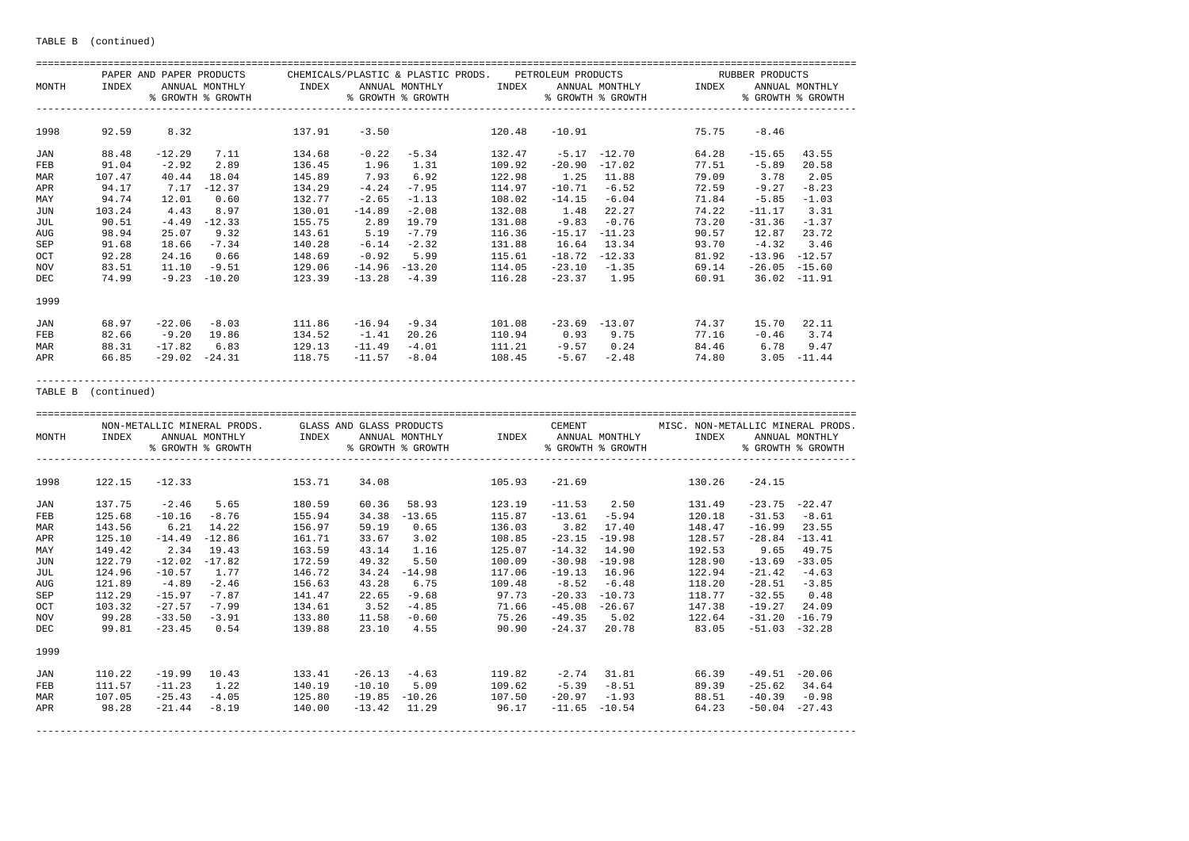|            |        | PAPER AND PAPER PRODUCTS |                   |        |          | CHEMICALS/PLASTIC & PLASTIC PRODS. |        | PETROLEUM PRODUCTS |                   |       | RUBBER PRODUCTS |                   |
|------------|--------|--------------------------|-------------------|--------|----------|------------------------------------|--------|--------------------|-------------------|-------|-----------------|-------------------|
| MONTH      | INDEX  |                          | ANNUAL MONTHLY    | INDEX  |          | ANNUAL MONTHLY                     | INDEX  |                    | ANNUAL MONTHLY    | INDEX |                 | ANNUAL MONTHLY    |
|            |        |                          | % GROWTH % GROWTH |        |          | % GROWTH % GROWTH                  |        |                    | % GROWTH % GROWTH |       |                 | % GROWTH % GROWTH |
| 1998       | 92.59  | 8.32                     |                   | 137.91 | $-3.50$  |                                    | 120.48 | $-10.91$           |                   | 75.75 | $-8.46$         |                   |
| <b>JAN</b> | 88.48  | $-12.29$                 | 7.11              | 134.68 | $-0.22$  | $-5.34$                            | 132.47 | -5.17              | $-12.70$          | 64.28 | $-15.65$        | 43.55             |
| FEB        | 91.04  | $-2.92$                  | 2.89              | 136.45 | 1.96     | 1.31                               | 109.92 | $-20.90$           | $-17.02$          | 77.51 | $-5.89$         | 20.58             |
| MAR        | 107.47 | 40.44                    | 18.04             | 145.89 | 7.93     | 6.92                               | 122.98 | 1.25               | 11.88             | 79.09 | 3.78            | 2.05              |
| APR        | 94.17  | 7.17                     | $-12.37$          | 134.29 | $-4.24$  | $-7.95$                            | 114.97 | $-10.71$           | $-6.52$           | 72.59 | $-9.27$         | $-8.23$           |
| MAY        | 94.74  | 12.01                    | 0.60              | 132.77 | $-2.65$  | $-1.13$                            | 108.02 | $-14.15$           | $-6.04$           | 71.84 | $-5.85$         | $-1.03$           |
| JUN        | 103.24 | 4.43                     | 8.97              | 130.01 | $-14.89$ | $-2.08$                            | 132.08 | 1.48               | 22.27             | 74.22 | $-11.17$        | 3.31              |
| JUL        | 90.51  | $-4.49$                  | $-12.33$          | 155.75 | 2.89     | 19.79                              | 131.08 | $-9.83$            | $-0.76$           | 73.20 | $-31.36$        | $-1.37$           |
| <b>AUG</b> | 98.94  | 25.07                    | 9.32              | 143.61 | 5.19     | $-7.79$                            | 116.36 | $-15.17$           | $-11.23$          | 90.57 | 12.87           | 23.72             |
| SEP        | 91.68  | 18.66                    | $-7.34$           | 140.28 | $-6.14$  | $-2.32$                            | 131.88 | 16.64              | 13.34             | 93.70 | $-4.32$         | 3.46              |
| OCT        | 92.28  | 24.16                    | 0.66              | 148.69 | $-0.92$  | 5.99                               | 115.61 | $-18.72$           | $-12.33$          | 81.92 | $-13.96$        | $-12.57$          |
| <b>NOV</b> | 83.51  | 11.10                    | $-9.51$           | 129.06 | $-14.96$ | $-13.20$                           | 114.05 | $-23.10$           | $-1.35$           | 69.14 | $-26.05$        | $-15.60$          |
| DEC        | 74.99  | $-9.23$                  | $-10.20$          | 123.39 | $-13.28$ | $-4.39$                            | 116.28 | $-23.37$           | 1.95              | 60.91 | 36.02           | $-11.91$          |
| 1999       |        |                          |                   |        |          |                                    |        |                    |                   |       |                 |                   |
| JAN        | 68.97  | $-22.06$                 | $-8.03$           | 111.86 | $-16.94$ | $-9.34$                            | 101.08 | $-23.69$           | $-13.07$          | 74.37 | 15.70           | 22.11             |
| FEB        | 82.66  | -9.20                    | 19.86             | 134.52 | $-1.41$  | 20.26                              | 110.94 | 0.93               | 9.75              | 77.16 | $-0.46$         | 3.74              |
| MAR        | 88.31  | $-17.82$                 | 6.83              | 129.13 | $-11.49$ | $-4.01$                            | 111.21 | $-9.57$            | 0.24              | 84.46 | 6.78            | 9.47              |
| APR        | 66.85  | $-29.02$                 | $-24.31$          | 118.75 | $-11.57$ | $-8.04$                            | 108.45 | $-5.67$            | $-2.48$           | 74.80 | 3.05            | $-11.44$          |

APR 66.85 -29.02 -24.31 118.75 -11.57 -8.04 108.45 -5.67 -2.48 74.80 3.05 -11.44 -----------------------------------------------------------------------------------------------------------------------------------------

TABLE B (continued)

|       |        |          | NON-METALLIC MINERAL PRODS. |        | GLASS AND GLASS PRODUCTS |                   |        | CEMENT           |                   | MISC. NON-METALLIC MINERAL PRODS. |                  |                   |
|-------|--------|----------|-----------------------------|--------|--------------------------|-------------------|--------|------------------|-------------------|-----------------------------------|------------------|-------------------|
| MONTH | INDEX  |          | ANNUAL MONTHLY              | INDEX  |                          | ANNUAL MONTHLY    | INDEX  |                  | ANNUAL MONTHLY    | INDEX                             |                  | ANNUAL MONTHLY    |
|       |        |          | % GROWTH % GROWTH           |        |                          | % GROWTH % GROWTH |        |                  | % GROWTH % GROWTH |                                   |                  | % GROWTH % GROWTH |
| 1998  | 122.15 | $-12.33$ |                             | 153.71 | 34.08                    |                   | 105.93 | $-21.69$         |                   | 130.26                            | $-24.15$         |                   |
| JAN   | 137.75 | $-2.46$  | 5.65                        | 180.59 | 60.36                    | 58.93             | 123.19 | $-11.53$         | 2.50              | 131.49                            | $-23.75 - 22.47$ |                   |
| FEB   | 125.68 | $-10.16$ | $-8.76$                     | 155.94 | 34.38                    | $-13.65$          | 115.87 | $-13.61$         | $-5.94$           | 120.18                            | $-31.53$         | $-8.61$           |
| MAR   | 143.56 | 6.21     | 14.22                       | 156.97 | 59.19                    | 0.65              | 136.03 | 3.82             | 17.40             | 148.47                            | $-16.99$         | 23.55             |
| APR   | 125.10 | $-14.49$ | $-12.86$                    | 161.71 | 33.67                    | 3.02              | 108.85 | $-23.15$         | $-19.98$          | 128.57                            | $-28.84$         | $-13.41$          |
| MAY   | 149.42 | 2.34     | 19.43                       | 163.59 | 43.14                    | 1.16              | 125.07 | $-14.32$         | 14.90             | 192.53                            | 9.65             | 49.75             |
| JUN   | 122.79 | $-12.02$ | $-17.82$                    | 172.59 | 49.32                    | 5.50              | 100.09 | $-30.98$         | $-19.98$          | 128.90                            | $-13.69$         | $-33.05$          |
| JUL   | 124.96 | $-10.57$ | 1.77                        | 146.72 | 34.24                    | $-14.98$          | 117.06 | $-19.13$         | 16.96             | 122.94                            | $-21.42$         | $-4.63$           |
| AUG   | 121.89 | $-4.89$  | $-2.46$                     | 156.63 | 43.28                    | 6.75              | 109.48 | $-8.52$          | $-6.48$           | 118.20                            | $-28.51$         | $-3.85$           |
| SEP   | 112.29 | $-15.97$ | $-7.87$                     | 141.47 | 22.65                    | $-9.68$           | 97.73  | $-20.33$         | $-10.73$          | 118.77                            | $-32.55$         | 0.48              |
| OCT   | 103.32 | $-27.57$ | $-7.99$                     | 134.61 | 3.52                     | $-4.85$           | 71.66  | $-45.08$         | $-26.67$          | 147.38                            | $-19.27$         | 24.09             |
| NOV   | 99.28  | $-33.50$ | $-3.91$                     | 133.80 | 11.58                    | $-0.60$           | 75.26  | $-49.35$         | 5.02              | 122.64                            | $-31.20$         | $-16.79$          |
| DEC   | 99.81  | $-23.45$ | 0.54                        | 139.88 | 23.10                    | 4.55              | 90.90  | $-24.37$         | 20.78             | 83.05                             | $-51.03$         | $-32.28$          |
| 1999  |        |          |                             |        |                          |                   |        |                  |                   |                                   |                  |                   |
| JAN   | 110.22 | $-19.99$ | 10.43                       | 133.41 | $-26.13$                 | $-4.63$           | 119.82 | $-2.74$          | 31.81             | 66.39                             | -49.51           | $-20.06$          |
| FEB   | 111.57 | $-11.23$ | 1.22                        | 140.19 | $-10.10$                 | 5.09              | 109.62 | $-5.39$          | $-8.51$           | 89.39                             | $-25.62$         | 34.64             |
| MAR   | 107.05 | $-25.43$ | $-4.05$                     | 125.80 | $-19.85$                 | $-10.26$          | 107.50 | $-20.97$         | $-1.93$           | 88.51                             | $-40.39$         | $-0.98$           |
| APR   | 98.28  | $-21.44$ | $-8.19$                     | 140.00 | $-13.42$                 | 11.29             | 96.17  | $-11.65 - 10.54$ |                   | 64.23                             | $-50.04 -27.43$  |                   |
|       |        |          |                             |        |                          |                   |        |                  |                   |                                   |                  |                   |